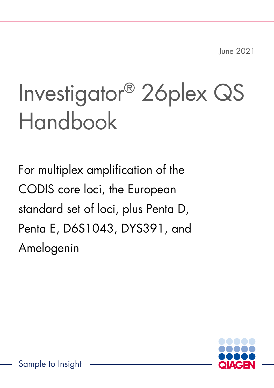June 2021

# Investigator® 26plex QS Handbook

For multiplex amplification of the CODIS core loci, the European standard set of loci, plus Penta D, Penta E, D6S1043, DYS391, and Amelogenin

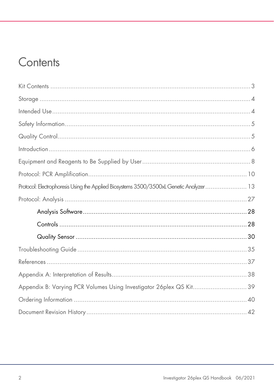# Contents

| Protocol: Electrophoresis Using the Applied Biosystems 3500/3500xL Genetic Analyzer 13 |  |
|----------------------------------------------------------------------------------------|--|
|                                                                                        |  |
|                                                                                        |  |
|                                                                                        |  |
|                                                                                        |  |
|                                                                                        |  |
|                                                                                        |  |
|                                                                                        |  |
| Appendix B: Varying PCR Volumes Using Investigator 26plex QS Kit 39                    |  |
|                                                                                        |  |
|                                                                                        |  |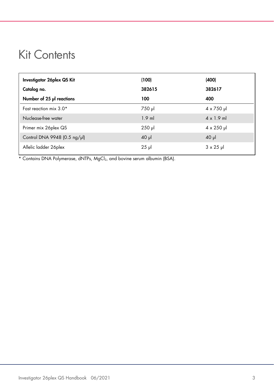# <span id="page-2-0"></span>Kit Contents

| Investigator 26 plex QS Kit  | (100)       | (400)                     |
|------------------------------|-------------|---------------------------|
| Catalog no.                  | 382615      | 382617                    |
| Number of 25 µl reactions    | 100         | 400                       |
| Fast reaction mix $3.0*$     | 750 µl      | $4 \times 750 \text{ pl}$ |
| Nuclease-free water          | $1.9$ ml    | $4 \times 1.9$ ml         |
| Primer mix 26plex QS         | $250$ $\mu$ | $4 \times 250$ pl         |
| Control DNA 9948 (0.5 ng/µl) | $40$ $\mu$  | $40$ $\mu$                |
| Allelic ladder 26plex        | $25$ $\mu$  | $3 \times 25$ µ           |

\* Contains DNA Polymerase, dNTPs, MgCl<sub>2</sub>, and bovine serum albumin (BSA).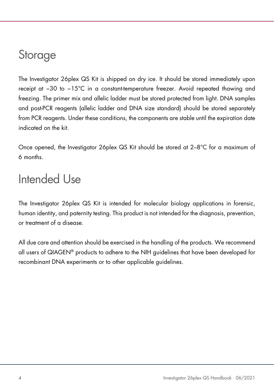# <span id="page-3-0"></span>**Storage**

The Investigator 26plex QS Kit is shipped on dry ice. It should be stored immediately upon receipt at −30 to −15°C in a constant-temperature freezer. Avoid repeated thawing and freezing. The primer mix and allelic ladder must be stored protected from light. DNA samples and post-PCR reagents (allelic ladder and DNA size standard) should be stored separately from PCR reagents. Under these conditions, the components are stable until the expiration date indicated on the kit.

Once opened, the Investigator 26plex QS Kit should be stored at 2–8°C for a maximum of 6 months.

# <span id="page-3-1"></span>Intended Use

The Investigator 26plex QS Kit is intended for molecular biology applications in forensic, human identity, and paternity testing. This product is not intended for the diagnosis, prevention, or treatment of a disease.

All due care and attention should be exercised in the handling of the products. We recommend all users of QIAGEN® products to adhere to the NIH guidelines that have been developed for recombinant DNA experiments or to other applicable guidelines.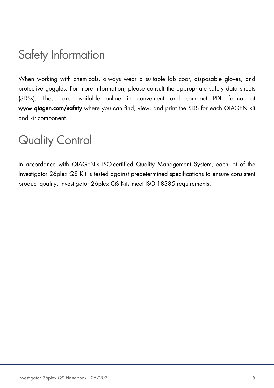# <span id="page-4-0"></span>Safety Information

When working with chemicals, always wear a suitable lab coat, disposable gloves, and protective goggles. For more information, please consult the appropriate safety data sheets (SDSs). These are available online in convenient and compact PDF format at www.qiagen.com/safety where you can find, view, and print the SDS for each QIAGEN kit and kit component.

# <span id="page-4-1"></span>Quality Control

In accordance with QIAGEN's ISO-certified Quality Management System, each lot of the Investigator 26plex QS Kit is tested against predetermined specifications to ensure consistent product quality. Investigator 26plex QS Kits meet ISO 18385 requirements.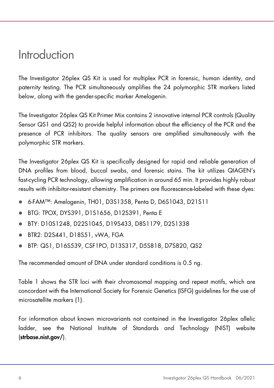# <span id="page-5-0"></span>Introduction

The Investigator 26plex QS Kit is used for multiplex PCR in forensic, human identity, and paternity testing. The PCR simultaneously amplifies the 24 polymorphic STR markers listed below, along with the gender-specific marker Amelogenin.

The Investigator 26plex QS Kit Primer Mix contains 2 innovative internal PCR controls (Quality Sensor QS1 and QS2) to provide helpful information about the efficiency of the PCR and the presence of PCR inhibitors. The quality sensors are amplified simultaneously with the polymorphic STR markers.

The Investigator 26plex QS Kit is specifically designed for rapid and reliable generation of DNA profiles from blood, buccal swabs, and forensic stains. The kit utilizes QIAGEN's fast-cycling PCR technology, allowing amplification in around 65 min. It provides highly robust results with inhibitor-resistant chemistry. The primers are fluorescence-labeled with these dyes:

- 6-FAM™: Amelogenin, TH01, D3S1358, Penta D, D6S1043, D21S11
- BTG: TPOX, DYS391, D1S1656, D12S391, Penta E
- BTY: D10S1248, D22S1045, D19S433, D8S1179, D2S1338
- BTR2: D2S441, D18S51, vWA, FGA
- BTP: QS1, D16S539, CSF1PO, D13S317, D5S818, D7S820, QS2

The recommended amount of DNA under standard conditions is 0.5 ng.

[Table 1](#page-6-0) shows the STR loci with their chromosomal mapping and repeat motifs, which are concordant with the International Society for Forensic Genetics (ISFG) guidelines for the use of microsatellite markers [\(1\)](#page-36-1).

For information about known microvariants not contained in the Investigator 26plex allelic ladder, see the National Institute of Standards and Technology (NIST) website (strbase.nist.gov/).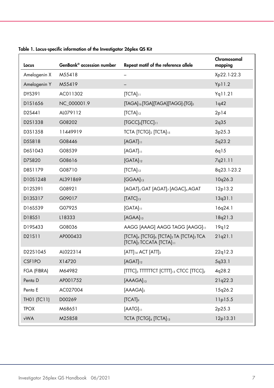| Locus              | GenBank® accession number | Repeat motif of the reference allele                                       | Chromosomal<br>mapping |
|--------------------|---------------------------|----------------------------------------------------------------------------|------------------------|
| Amelogenin X       | M55418                    |                                                                            | Xp22.1-22.3            |
| Amelogenin Y       | M55419                    |                                                                            | Yp11.2                 |
| DYS391             | AC011302                  | $[TCTA]_{11}$                                                              | Yq11.21                |
| D1S1656            | NC_000001.9               | [TAGA] <sup>16</sup> [TGA][TAGA][TAGG] <sup>1</sup> [TG] <sub>5</sub>      | 1q42                   |
| D2S441             | AL079112                  | $[TCTA]_{12}$                                                              | 2p14                   |
| D2S1338            | G08202                    | $[TGCC]_{6}[TICC]_{11}$                                                    | 2q35                   |
| D3S1358            | 11449919                  | TCTA [TCTG]2 [TCTA]15                                                      | 3p25.3                 |
| D5S818             | G08446                    | $[AGAT]_{11}$                                                              | 5q23.2                 |
| D6S1043            | G08539                    | $[AGAT]_{11}$                                                              | 6q15                   |
| D7S820             | G08616                    | $[GATA]_{12}$                                                              | 7q21.11                |
| D8S1179            | G08710                    | $[TCTA]_{12}$                                                              | 8q23.1-23.2            |
| D10S1248           | AL391869                  | $[GGAA]_{13}$                                                              | 10q26.3                |
| D12S391            | G08921                    | [AGAT] <sub>5</sub> GAT [AGAT] <sub>7</sub> [AGAC] <sub>6</sub> AGAT       | 12p13.2                |
| D13S317            | G09017                    | $[TATC]_{13}$                                                              | 13q31.1                |
| D16S539            | G07925                    | $[GATA]_{11}$                                                              | 16q24.1                |
| D18S51             | L18333                    | $[AGAA]_{13}$                                                              | 18q21.3                |
| D19S433            | G08036                    | AAGG [AAAG] AAGG TAGG [AAGG]11                                             | 19q12                  |
| D21S11             | AP000433                  | [TCTA]4 [TCTG]6 [TCTA]3 TA [TCTA]3 TCA<br>[TCTA]2 TCCATA [TCTA]11          | 21q21.1                |
| D22S1045           | AL022314                  | $[ATT]_{14}$ ACT $[ATT]_2$                                                 | 22q12.3                |
| CSF1PO             | X14720                    | $[AGAT]_{12}$                                                              | 5q33.1                 |
| FGA (FIBRA)        | M64982                    | [TITC] <sub>3</sub> TITITICI [CITI] <sub>13</sub> CICC [TICC] <sub>2</sub> | 4q28.2                 |
| Penta D            | AP001752                  | $[AAAGA]_{13}$                                                             | 21q22.3                |
| Penta E            | AC027004                  | $[AAAGA]_5$                                                                | 15q26.2                |
| <b>THO1 (TC11)</b> | D00269                    | [TCAT]                                                                     | 11p15.5                |
| <b>TPOX</b>        | M68651                    | $[AAIG]_{11}$                                                              | 2 <sub>p</sub> 25.3    |
| vWA                | M25858                    | TCTA [TCTG]4 [TCTA]13                                                      | 12p13.31               |

<span id="page-6-0"></span>Table 1. Locus-specific information of the Investigator 26plex QS Kit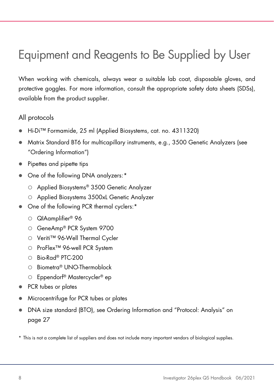# <span id="page-7-0"></span>Equipment and Reagents to Be Supplied by User

When working with chemicals, always wear a suitable lab coat, disposable gloves, and protective goggles. For more information, consult the appropriate safety data sheets (SDSs), available from the product supplier.

### All protocols

- Hi-Di™ Formamide, 25 ml (Applied Biosystems, cat. no. 4311320)
- Matrix Standard BT6 for multicapillary instruments, e.g., 3500 Genetic Analyzers (see ["Ordering Information"](#page-39-0))
- Pipettes and pipette tips
- One of the following DNA analyzers:[\\*](#page-7-1)
	- Applied Biosystems® 3500 Genetic Analyzer
	- Applied Biosystems 3500xL Genetic Analyzer
- One of the following PCR thermal cyclers:\*
	- $\circ$  QIAamplifier® 96
	- GeneAmp® PCR System 9700
	- Veriti™ 96-Well Thermal Cycler
	- O ProFlex<sup>™</sup> 96-well PCR System
	- $O$  Bio-Rad® PTC-200
	- Biometra® UNO-Thermoblock
	- Eppendorf® Mastercycler® ep
- PCR tubes or plates
- Microcentrifuge for PCR tubes or plates
- DNA size standard (BTO), see [Ordering Information](#page-39-0) and ["Protocol: Analysis"](#page-26-0) on page [27](#page-26-0)
- <span id="page-7-1"></span>\* This is not a complete list of suppliers and does not include many important vendors of biological supplies.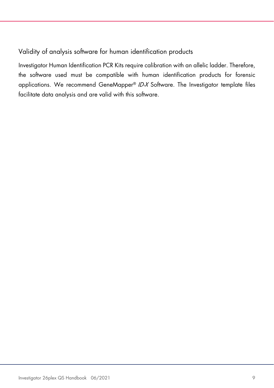### Validity of analysis software for human identification products

Investigator Human Identification PCR Kits require calibration with an allelic ladder. Therefore, the software used must be compatible with human identification products for forensic applications. We recommend GeneMapper® ID-X Software. The Investigator template files facilitate data analysis and are valid with this software.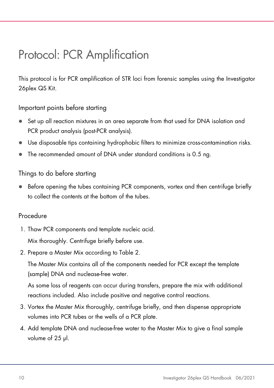# <span id="page-9-0"></span>Protocol: PCR Amplification

This protocol is for PCR amplification of STR loci from forensic samples using the Investigator 26plex QS Kit.

Important points before starting

- Set up all reaction mixtures in an area separate from that used for DNA isolation and PCR product analysis (post-PCR analysis).
- Use disposable tips containing hydrophobic filters to minimize cross-contamination risks.
- The recommended amount of DNA under standard conditions is 0.5 ng.

### Things to do before starting

 Before opening the tubes containing PCR components, vortex and then centrifuge briefly to collect the contents at the bottom of the tubes.

### Procedure

1. Thaw PCR components and template nucleic acid.

Mix thoroughly. Centrifuge briefly before use.

2. Prepare a Master Mix according to [Table 2.](#page-10-0)

The Master Mix contains all of the components needed for PCR except the template (sample) DNA and nuclease-free water.

As some loss of reagents can occur during transfers, prepare the mix with additional reactions included. Also include positive and negative control reactions.

- 3. Vortex the Master Mix thoroughly, centrifuge briefly, and then dispense appropriate volumes into PCR tubes or the wells of a PCR plate.
- 4. Add template DNA and nuclease-free water to the Master Mix to give a final sample volume of 25 µl.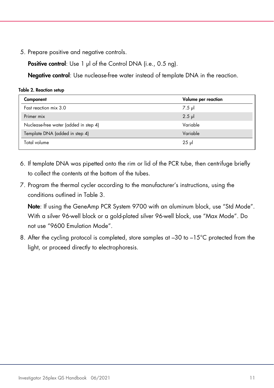5. Prepare positive and negative controls.

Positive control: Use 1 µl of the Control DNA (i.e., 0.5 ng).

Negative control: Use nuclease-free water instead of template DNA in the reaction.

<span id="page-10-0"></span>Table 2. Reaction setup

| Component                             | Volume per reaction |
|---------------------------------------|---------------------|
| Fast reaction mix 3.0                 | 7.5 µl              |
| Primer mix                            | $2.5$ pl            |
| Nuclease-free water (added in step 4) | Variable            |
| Template DNA (added in step 4)        | Variable            |
| Total volume                          | $25$ pl             |

- 6. If template DNA was pipetted onto the rim or lid of the PCR tube, then centrifuge briefly to collect the contents at the bottom of the tubes.
- 7. Program the thermal cycler according to the manufacturer's instructions, using the conditions outlined in [Table 3.](#page-11-0)

Note: If using the GeneAmp PCR System 9700 with an aluminum block, use "Std Mode". With a silver 96-well block or a gold-plated silver 96-well block, use "Max Mode". Do not use "9600 Emulation Mode".

8. After the cycling protocol is completed, store samples at  $-30$  to  $-15^{\circ}$ C protected from the light, or proceed directly to electrophoresis.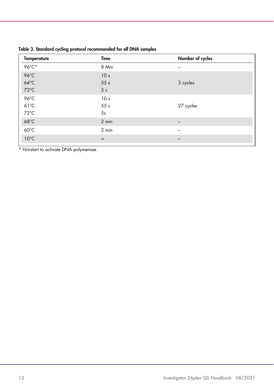| <b>Temperature</b> | Time            | Number of cycles |
|--------------------|-----------------|------------------|
| 96°C*              | 8 Min           |                  |
| 96°C               | 10 <sub>s</sub> |                  |
| $64^{\circ}$ C     | 55s             | 3 cycles         |
| 72°C               | 5 <sub>s</sub>  |                  |
| 96°C               | 10 <sub>s</sub> |                  |
| $61^{\circ}$ C     | 55s             | 27 cycles        |
| 72°C               | 5s              |                  |
| $68^{\circ}$ C     | 2 min           |                  |
| $60^{\circ}$ C     | 2 min           |                  |
| $10^{\circ}$ C     | $\infty$        |                  |

<span id="page-11-0"></span>Table 3. Standard cycling protocol recommended for all DNA samples

\* Hot-start to activate DNA polymerase.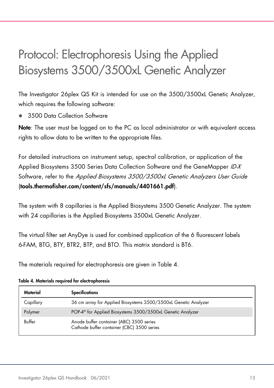# <span id="page-12-0"></span>Protocol: Electrophoresis Using the Applied Biosystems 3500/3500xL Genetic Analyzer

The Investigator 26plex QS Kit is intended for use on the 3500/3500xL Genetic Analyzer, which requires the following software:

3500 Data Collection Software

Note: The user must be logged on to the PC as local administrator or with equivalent access rights to allow data to be written to the appropriate files.

For detailed instructions on instrument setup, spectral calibration, or application of the Applied Biosystems 3500 Series Data Collection Software and the GeneMapper ID-X Software, refer to the Applied Biosystems 3500/3500xL Genetic Analyzers User Guide (tools.thermofisher.com/content/sfs/manuals/4401661.pdf).

The system with 8 capillaries is the Applied Biosystems 3500 Genetic Analyzer. The system with 24 capillaries is the Applied Biosystems 3500xL Genetic Analyzer.

The virtual filter set AnyDye is used for combined application of the 6 fluorescent labels 6-FAM, BTG, BTY, BTR2, BTP, and BTO. This matrix standard is BT6.

The materials required for electrophoresis are given in [Table 4.](#page-12-1)

| Material  | <b>Specifications</b>                                                                  |
|-----------|----------------------------------------------------------------------------------------|
| Capillary | 36 cm array for Applied Biosystems 3500/3500xL Genetic Analyzer                        |
| Polymer   | POP-4 <sup>®</sup> for Applied Biosystems 3500/3500xL Genetic Analyzer                 |
| Buffer    | Anode buffer container (ABC) 3500 series<br>Cathode buffer container (CBC) 3500 series |

<span id="page-12-1"></span>Table 4. Materials required for electrophoresis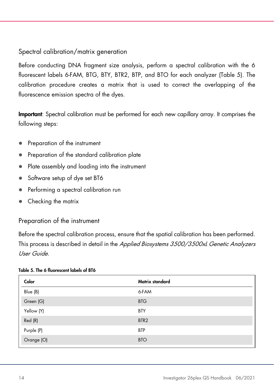### Spectral calibration/matrix generation

Before conducting DNA fragment size analysis, perform a spectral calibration with the 6 fluorescent labels 6-FAM, BTG, BTY, BTR2, BTP, and BTO for each analyzer [\(Table 5\)](#page-13-0). The calibration procedure creates a matrix that is used to correct the overlapping of the fluorescence emission spectra of the dyes.

Important: Spectral calibration must be performed for each new capillary array. It comprises the following steps:

- Preparation of the instrument
- Preparation of the standard calibration plate
- Plate assembly and loading into the instrument
- Software setup of dye set BT6
- Performing a spectral calibration run
- Checking the matrix

### Preparation of the instrument

Before the spectral calibration process, ensure that the spatial calibration has been performed. This process is described in detail in the Applied Biosystems 3500/3500xL Genetic Analyzers User Guide.

#### <span id="page-13-0"></span>Table 5. The 6 fluorescent labels of BT6

| Color      | Matrix standard  |
|------------|------------------|
| Blue (B)   | 6-FAM            |
| Green (G)  | <b>BTG</b>       |
| Yellow (Y) | <b>BTY</b>       |
| Red (R)    | BTR <sub>2</sub> |
| Purple (P) | <b>BTP</b>       |
| Orange (O) | <b>BTO</b>       |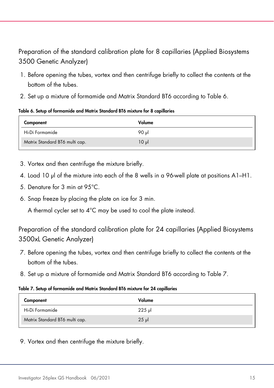# Preparation of the standard calibration plate for 8 capillaries (Applied Biosystems 3500 Genetic Analyzer)

- 1. Before opening the tubes, vortex and then centrifuge briefly to collect the contents at the bottom of the tubes.
- 2. Set up a mixture of formamide and Matrix Standard BT6 according to [Table 6.](#page-14-0)

<span id="page-14-0"></span>Table 6. Setup of formamide and Matrix Standard BT6 mixture for 8 capillaries

| Component                      | Volume   |
|--------------------------------|----------|
| Hi-Di Formamide                | 90 ul    |
| Matrix Standard BT6 multi cap. | $10 \mu$ |

- 3. Vortex and then centrifuge the mixture briefly.
- 4. Load 10 µl of the mixture into each of the 8 wells in a 96-well plate at positions A1–H1.
- 5. Denature for 3 min at 95°C.
- 6. Snap freeze by placing the plate on ice for 3 min.

A thermal cycler set to 4°C may be used to cool the plate instead.

Preparation of the standard calibration plate for 24 capillaries (Applied Biosystems 3500xL Genetic Analyzer)

- 7. Before opening the tubes, vortex and then centrifuge briefly to collect the contents at the bottom of the tubes.
- 8. Set up a mixture of formamide and Matrix Standard BT6 according to [Table 7.](#page-14-1)

#### <span id="page-14-1"></span>Table 7. Setup of formamide and Matrix Standard BT6 mixture for 24 capillaries

| Component                      | Volume  |
|--------------------------------|---------|
| Hi-Di Formamide                | $225$ µ |
| Matrix Standard BT6 multi cap. | $25$ pl |

9. Vortex and then centrifuge the mixture briefly.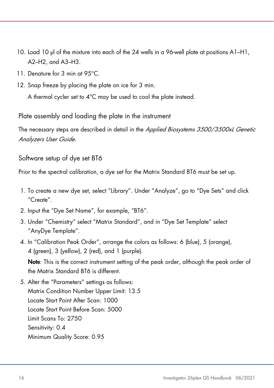- 10. Load 10 µl of the mixture into each of the 24 wells in a 96-well plate at positions A1–H1, A2–H2, and A3–H3.
- 11. Denature for 3 min at 95°C.
- 12. Snap freeze by placing the plate on ice for 3 min.

A thermal cycler set to 4°C may be used to cool the plate instead.

Plate assembly and loading the plate in the instrument

The necessary steps are described in detail in the Applied Biosystems 3500/3500xL Genetic Analyzers User Guide.

<span id="page-15-0"></span>Software setup of dye set BT6

Prior to the spectral calibration, a dye set for the Matrix Standard BT6 must be set up.

- 1. To create a new dye set, select "Library". Under "Analyze", go to "Dye Sets" and click "Create".
- 2. Input the "Dye Set Name", for example, "BT6".
- 3. Under "Chemistry" select "Matrix Standard", and in "Dye Set Template" select "AnyDye Template".
- 4. In "Calibration Peak Order", arrange the colors as follows: 6 (blue), 5 (orange), 4 (green), 3 (yellow), 2 (red), and 1 (purple).

Note: This is the correct instrument setting of the peak order, although the peak order of the Matrix Standard BT6 is different.

5. Alter the "Parameters" settings as follows: Matrix Condition Number Upper Limit: 13.5 Locate Start Point After Scan: 1000 Locate Start Point Before Scan: 5000 Limit Scans To: 2750 Sensitivity: 0.4 Minimum Quality Score: 0.95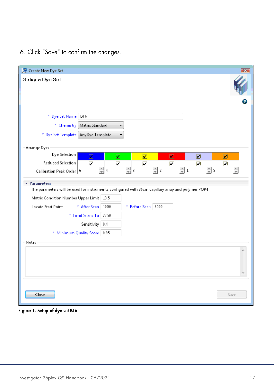6. Click "Save" to confirm the changes.

| Create New Dye Set                                                                                |                        |   |                    |                 |   |                       |   |                 |                         | $\mathbf{x}$ |
|---------------------------------------------------------------------------------------------------|------------------------|---|--------------------|-----------------|---|-----------------------|---|-----------------|-------------------------|--------------|
| Setup a Dye Set                                                                                   |                        |   |                    |                 |   |                       |   |                 |                         |              |
|                                                                                                   |                        |   |                    |                 |   |                       |   |                 |                         |              |
|                                                                                                   |                        |   |                    |                 |   |                       |   |                 |                         |              |
|                                                                                                   |                        |   |                    |                 |   |                       |   |                 |                         |              |
| * Dye Set Name BT6                                                                                |                        |   |                    |                 |   |                       |   |                 |                         |              |
| * Chemistry Matrix Standard                                                                       |                        | ▼ |                    |                 |   |                       |   |                 |                         |              |
| * Dye Set Template AnyDye Template                                                                |                        | ▼ |                    |                 |   |                       |   |                 |                         |              |
| Arrange Dyes                                                                                      |                        |   |                    |                 |   |                       |   |                 |                         |              |
| Dye Selection                                                                                     | ⊡                      | ☑ | ☑                  |                 | П |                       | ☑ |                 | $\overline{\mathbf{v}}$ |              |
| Reduced Selection                                                                                 | $\blacksquare$         | ☑ | ☑                  |                 | ⊡ |                       | ☑ |                 | ⊡                       |              |
| Calibration Peak Order   6                                                                        | $\frac{1}{\sqrt{2}}$ 4 |   | $\frac{1}{2}$ 3    | $\frac{4}{7}$ 2 |   | $\frac{2}{\sqrt{2}}1$ |   | $\frac{4}{3}$ 5 |                         | ≜            |
| ▼ Parameters                                                                                      |                        |   |                    |                 |   |                       |   |                 |                         |              |
| The parameters will be used for instruments configured with 36cm capillary array and polymer POP4 |                        |   |                    |                 |   |                       |   |                 |                         |              |
| Matrix Condition Number Upper Limit   13.5                                                        |                        |   |                    |                 |   |                       |   |                 |                         |              |
| Locate Start Point                                                                                | * After Scan 1000      |   | * Before Scan 5000 |                 |   |                       |   |                 |                         |              |
|                                                                                                   | * Limit Scans To 2750  |   |                    |                 |   |                       |   |                 |                         |              |
|                                                                                                   | Sensitivity 0.4        |   |                    |                 |   |                       |   |                 |                         |              |
| * Minimum Quality Score 0.95                                                                      |                        |   |                    |                 |   |                       |   |                 |                         |              |
| Notes                                                                                             |                        |   |                    |                 |   |                       |   |                 |                         |              |
|                                                                                                   |                        |   |                    |                 |   |                       |   |                 |                         | ۸            |
|                                                                                                   |                        |   |                    |                 |   |                       |   |                 |                         |              |
|                                                                                                   |                        |   |                    |                 |   |                       |   |                 |                         |              |
|                                                                                                   |                        |   |                    |                 |   |                       |   |                 |                         |              |
|                                                                                                   |                        |   |                    |                 |   |                       |   |                 |                         |              |
| Close                                                                                             |                        |   |                    |                 |   |                       |   |                 |                         | Save         |

Figure 1. Setup of dye set BT6.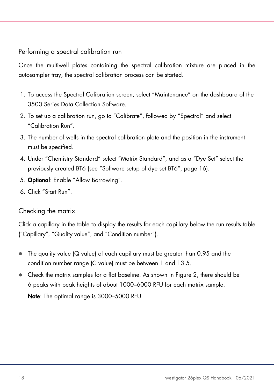### Performing a spectral calibration run

Once the multiwell plates containing the spectral calibration mixture are placed in the autosampler tray, the spectral calibration process can be started.

- 1. To access the Spectral Calibration screen, select "Maintenance" on the dashboard of the 3500 Series Data Collection Software.
- 2. To set up a calibration run, go to "Calibrate", followed by "Spectral" and select "Calibration Run".
- 3. The number of wells in the spectral calibration plate and the position in the instrument must be specified.
- 4. Under "Chemistry Standard" select "Matrix Standard", and as a "Dye Set" select the previously created BT6 (see ["Software setup of dye set BT6"](#page-15-0), page [16\)](#page-15-0).
- 5. Optional: Enable "Allow Borrowing".
- 6. Click "Start Run".

# Checking the matrix

Click a capillary in the table to display the results for each capillary below the run results table ("Capillary", "Quality value", and "Condition number").

- The quality value (Q value) of each capillary must be greater than 0.95 and the condition number range (C value) must be between 1 and 13.5.
- Check the matrix samples for a flat baseline. As shown in [Figure 2,](#page-18-0) there should be 6 peaks with peak heights of about 1000–6000 RFU for each matrix sample.

Note: The optimal range is 3000–5000 RFU.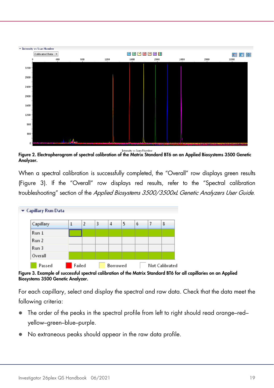

**Intensity vs Scan Number** 

<span id="page-18-0"></span>Figure 2. Electropherogram of spectral calibration of the Matrix Standard BT6 on an Applied Biosystems 3500 Genetic Analyzer.

When a spectral calibration is successfully completed, the "Overall" row displays green results [\(Figure 3\).](#page-18-1) If the "Overall" row displays red results, refer to the "Spectral calibration troubleshooting" section of the Applied Biosystems 3500/3500xL Genetic Analyzers User Guide.



<span id="page-18-1"></span>Figure 3. Example of successful spectral calibration of the Matrix Standard BT6 for all capillaries on an Applied Biosystems 3500 Genetic Analyzer.

For each capillary, select and display the spectral and raw data. Check that the data meet the following criteria:

- The order of the peaks in the spectral profile from left to right should read orange–red– yellow–green–blue–purple.
- No extraneous peaks should appear in the raw data profile.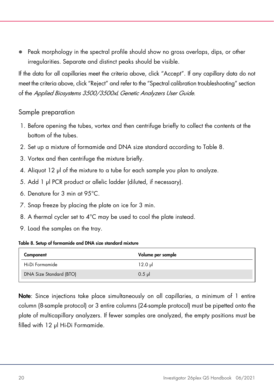Peak morphology in the spectral profile should show no gross overlaps, dips, or other irregularities. Separate and distinct peaks should be visible.

If the data for all capillaries meet the criteria above, click "Accept". If any capillary data do not meet the criteria above, click "Reject" and refer to the "Spectral calibration troubleshooting" section of the Applied Biosystems 3500/3500xL Genetic Analyzers User Guide.

### Sample preparation

- 1. Before opening the tubes, vortex and then centrifuge briefly to collect the contents at the bottom of the tubes.
- 2. Set up a mixture of formamide and DNA size standard according to [Table 8.](#page-19-0)
- 3. Vortex and then centrifuge the mixture briefly.
- 4. Aliquot 12 µl of the mixture to a tube for each sample you plan to analyze.
- 5. Add 1 µl PCR product or allelic ladder (diluted, if necessary).
- 6. Denature for 3 min at 95°C.
- 7. Snap freeze by placing the plate on ice for 3 min.
- 8. A thermal cycler set to 4°C may be used to cool the plate instead.
- 9. Load the samples on the tray.

#### <span id="page-19-0"></span>Table 8. Setup of formamide and DNA size standard mixture

| Component               | Volume per sample |
|-------------------------|-------------------|
| Hi-Di Formamide         | 12.0 ul           |
| DNA Size Standard (BTO) | $0.5$ pl          |

Note: Since injections take place simultaneously on all capillaries, a minimum of 1 entire column (8-sample protocol) or 3 entire columns (24-sample protocol) must be pipetted onto the plate of multicapillary analyzers. If fewer samples are analyzed, the empty positions must be filled with 12 µl Hi-Di Formamide.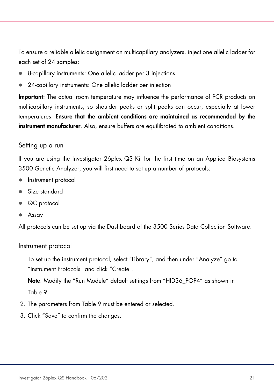To ensure a reliable allelic assignment on multicapillary analyzers, inject one allelic ladder for each set of 24 samples:

- 8-capillary instruments: One allelic ladder per 3 injections
- 24-capillary instruments: One allelic ladder per injection

Important: The actual room temperature may influence the performance of PCR products on multicapillary instruments, so shoulder peaks or split peaks can occur, especially at lower temperatures. Ensure that the ambient conditions are maintained as recommended by the instrument manufacturer. Also, ensure buffers are equilibrated to ambient conditions.

### <span id="page-20-0"></span>Setting up a run

If you are using the Investigator 26plex QS Kit for the first time on an Applied Biosystems 3500 Genetic Analyzer, you will first need to set up a number of protocols:

- Instrument protocol
- Size standard
- QC protocol
- Assay

All protocols can be set up via the Dashboard of the 3500 Series Data Collection Software.

#### Instrument protocol

1. To set up the instrument protocol, select "Library", and then under "Analyze" go to "Instrument Protocols" and click "Create".

Note: Modify the "Run Module" default settings from "HID36\_POP4" as shown in [Table 9.](#page-21-0)

- 2. The parameters from [Table 9](#page-21-0) must be entered or selected.
- 3. Click "Save" to confirm the changes.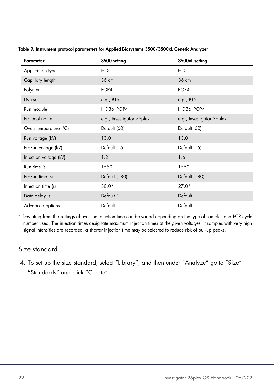| Parameter              | 3500 setting              | 3500xL setting            |  |  |
|------------------------|---------------------------|---------------------------|--|--|
| Application type       | <b>HID</b>                | <b>HID</b>                |  |  |
| Capillary length       | 36 cm                     | 36 cm                     |  |  |
| Polymer                | POP4                      | POP4                      |  |  |
| Dye set                | e.g., BT6                 | e.g., BT6                 |  |  |
| Run module             | HID36_POP4                | HID36_POP4                |  |  |
| Protocol name          | e.g., Investigator 26plex | e.g., Investigator 26plex |  |  |
| Oven temperature (°C)  | Default (60)              | Default (60)              |  |  |
| Run voltage (kV)       | 13.0                      | 13.0                      |  |  |
| PreRun voltage (kV)    | Default (15)              | Default (15)              |  |  |
| Injection voltage (kV) | 1.2                       | 1.6                       |  |  |
| Run time (s)           | 1550                      | 1550                      |  |  |
| PreRun time (s)        | Default (180)             | Default (180)             |  |  |
| Injection time (s)     | $30.0*$                   | $27.0*$                   |  |  |
| Data delay (s)         | Default (1)               | Default (1)               |  |  |
| Advanced options       | Default                   | Default                   |  |  |

<span id="page-21-0"></span>Table 9. Instrument protocol parameters for Applied Biosystems 3500/3500xL Genetic Analyzer

\* Deviating from the settings above, the injection time can be varied depending on the type of samples and PCR cycle number used. The injection times designate maximum injection times at the given voltages. If samples with very high signal intensities are recorded, a shorter injection time may be selected to reduce risk of pull-up peaks.

### Size standard

4. To set up the size standard, select "Library", and then under "Analyze" go to "Size" "Standards" and click "Create".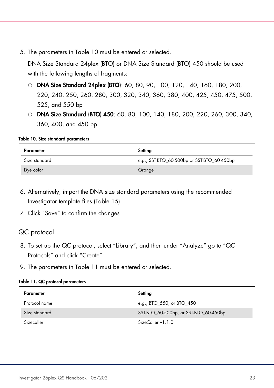5. The parameters in [Table 10](#page-22-0) must be entered or selected.

DNA Size Standard 24plex (BTO) or DNA Size Standard (BTO) 450 should be used with the following lengths of fragments:

- O **DNA Size Standard 24plex (BTO)**: 60, 80, 90, 100, 120, 140, 160, 180, 200, 220, 240, 250, 260, 280, 300, 320, 340, 360, 380, 400, 425, 450, 475, 500, 525, and 550 bp
- O **DNA Size Standard (BTO) 450**: 60, 80, 100, 140, 180, 200, 220, 260, 300, 340, 360, 400, and 450 bp

#### <span id="page-22-0"></span>Table 10. Size standard parameters

| Parameter     | Setting                                    |
|---------------|--------------------------------------------|
| Size standard | e.g., SST-BTO_60-500bp or SST-BTO_60-450bp |
| Dye color     | Orange                                     |

- 6. Alternatively, import the DNA size standard parameters using the recommended Investigator template files [\(Table 15\)](#page-27-2).
- 7. Click "Save" to confirm the changes.

### QC protocol

- 8. To set up the QC protocol, select "Library", and then under "Analyze" go to "QC Protocols" and click "Create".
- 9. The parameters in [Table 11](#page-22-1) must be entered or selected.

#### <span id="page-22-1"></span>Table 11. QC protocol parameters

| Parameter     | Setting                               |
|---------------|---------------------------------------|
| Protocol name | e.g., BTO_550, or BTO_450             |
| Size standard | SST-BTO_60-500bp, or SST-BTO_60-450bp |
| Sizecaller    | SizeCaller v1.1.0                     |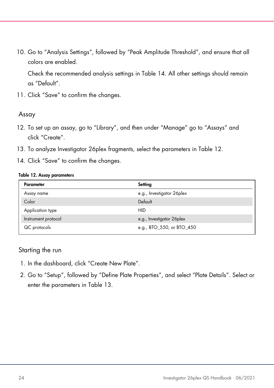10. Go to "Analysis Settings", followed by "Peak Amplitude Threshold", and ensure that all colors are enabled.

Check the recommended analysis settings in [Table 14.](#page-25-0) All other settings should remain as "Default".

11. Click "Save" to confirm the changes.

### Assay

- 12. To set up an assay, go to "Library", and then under "Manage" go to "Assays" and click "Create".
- 13. To analyze Investigator 26plex fragments, select the parameters in [Table 12.](#page-23-0)
- 14. Click "Save" to confirm the changes.

#### <span id="page-23-0"></span>Table 12. Assay parameters

| Parameter           | Setting                    |
|---------------------|----------------------------|
| Assay name          | e.g., Investigator 26 plex |
| Color               | Default                    |
| Application type    | <b>HID</b>                 |
| Instrument protocol | e.g., Investigator 26 plex |
| QC protocols        | e.g., BTO_550, or BTO_450  |

### Starting the run

- 1. In the dashboard, click "Create New Plate".
- 2. Go to "Setup", followed by "Define Plate Properties", and select "Plate Details". Select or enter the parameters in [Table 13.](#page-24-0)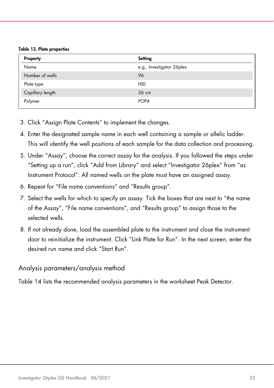<span id="page-24-0"></span>Table 13. Plate properties

| Property         | Setting                   |
|------------------|---------------------------|
| Name             | e.g., Investigator 26plex |
| Number of wells  | 96                        |
| Plate type       | <b>HID</b>                |
| Capillary length | 36 cm                     |
| Polymer          | POP <sub>4</sub>          |

- 3. Click "Assign Plate Contents" to implement the changes.
- 4. Enter the designated sample name in each well containing a sample or allelic ladder. This will identify the well positions of each sample for the data collection and processing.
- 5. Under "Assay", choose the correct assay for the analysis. If you followed the steps under ["Setting up a run"](#page-20-0), click "Add from Library" and select "Investigator 26plex" from "as Instrument Protocol". All named wells on the plate must have an assigned assay.
- 6. Repeat for "File name conventions" and "Results group".
- 7. Select the wells for which to specify an assay. Tick the boxes that are next to "the name of the Assay", "File name conventions", and "Results group" to assign those to the selected wells.
- 8. If not already done, load the assembled plate to the instrument and close the instrument door to reinitialize the instrument. Click "Link Plate for Run". In the next screen, enter the desired run name and click "Start Run".

### Analysis parameters/analysis method

[Table 14](#page-25-0) lists the recommended analysis parameters in the worksheet Peak Detector.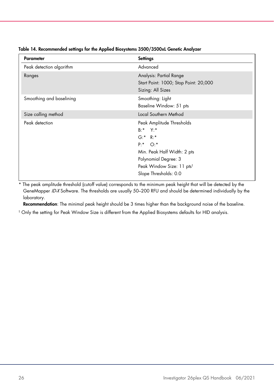| <b>Parameter</b>         | Settings                                                                                                                                                                                          |
|--------------------------|---------------------------------------------------------------------------------------------------------------------------------------------------------------------------------------------------|
| Peak detection algorithm | Advanced                                                                                                                                                                                          |
| Ranges                   | Analysis: Partial Range<br>Start Point: 1000; Stop Point: 20,000<br>Sizing: All Sizes                                                                                                             |
| Smoothing and baselining | Smoothing: Light<br>Baseline Window: 51 pts                                                                                                                                                       |
| Size calling method      | Local Southern Method                                                                                                                                                                             |
| Peak detection           | Peak Amplitude Thresholds<br>$B:^*$ Y:*<br>G: K R: K<br>$P: K \cap C: K$<br>Min. Peak Half Width: 2 pts<br>Polynomial Degree: 3<br>Peak Window Size: 11 pts <sup>t</sup><br>Slope Thresholds: 0.0 |

<span id="page-25-0"></span>Table 14. Recommended settings for the Applied Biosystems 3500/3500xL Genetic Analyzer

\* The peak amplitude threshold (cutoff value) corresponds to the minimum peak height that will be detected by the GeneMapper ID-X Software. The thresholds are usually 50–200 RFU and should be determined individually by the laboratory.

Recommendation: The minimal peak height should be 3 times higher than the background noise of the baseline.

† Only the setting for Peak Window Size is different from the Applied Biosystems defaults for HID analysis.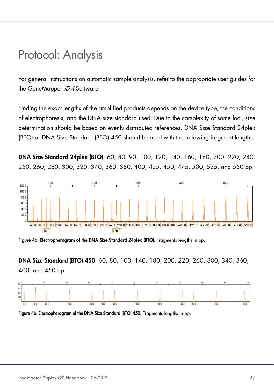# <span id="page-26-0"></span>Protocol: Analysis

For general instructions on automatic sample analysis, refer to the appropriate user guides for the GeneMapper ID-X Software.

Finding the exact lengths of the amplified products depends on the device type, the conditions of electrophoresis, and the DNA size standard used. Due to the complexity of some loci, size determination should be based on evenly distributed references. DNA Size Standard 24plex (BTO) or DNA Size Standard (BTO) 450 should be used with the following fragment lengths:

DNA Size Standard 24plex (BTO): 60, 80, 90, 100, 120, 140, 160, 180, 200, 220, 240, 250, 260, 280, 300, 320, 340, 360, 380, 400, 425, 450, 475, 500, 525, and 550 bp



Figure 4a. Electropherogram of the DNA Size Standard 24plex (BTO). Fragments lengths in bp.

DNA Size Standard (BTO) 450: 60, 80, 100, 140, 180, 200, 220, 260, 300, 340, 360, 400, and 450 bp



Figure 4b. Electropherogram of the DNA Size Standard (BTO) 450. Fragments lengths in bp.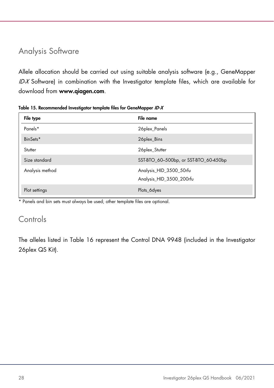# <span id="page-27-0"></span>Analysis Software

Allele allocation should be carried out using suitable analysis software (e.g., GeneMapper ID-X Software) in combination with the Investigator template files, which are available for download from www.qiagen.com.

| File type       | File name                                           |
|-----------------|-----------------------------------------------------|
| Panels*         | 26plex_Panels                                       |
| BinSets*        | 26plex_Bins                                         |
| Stutter         | 26plex_Stutter                                      |
| Size standard   | SST-BTO_60-500bp, or SST-BTO_60-450bp               |
| Analysis method | Analysis_HID_3500_50rfu<br>Analysis_HID_3500_200rfu |
| Plot settings   | Plots_6dyes                                         |

<span id="page-27-2"></span>Table 15. Recommended Investigator template files for GeneMapper ID-X

\* Panels and bin sets must always be used; other template files are optional.

# <span id="page-27-1"></span>Controls

The alleles listed in [Table 16](#page-28-0) represent the Control DNA 9948 (included in the Investigator 26plex QS Kit).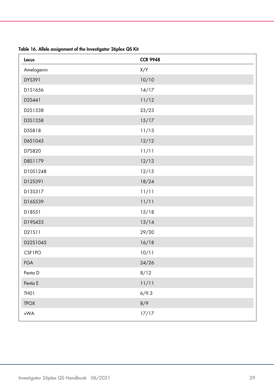| Locus            | <b>CCR 9948</b> |
|------------------|-----------------|
| Amelogenin       | X/Y             |
| DYS391           | 10/10           |
| D1S1656          | 14/17           |
| D2S441           | 11/12           |
| D2S1338          | 23/23           |
| D3S1358          | 15/17           |
| D5S818           | 11/13           |
| D6S1043          | 12/12           |
| D7S820           | 11/11           |
| D8S1179          | 12/13           |
| D10S1248         | 12/15           |
| D12S391          | 18/24           |
| D13S317          | 11/11           |
| D16S539          | 11/11           |
| D18S51           | 15/18           |
| D19S433          | 13/14           |
| D21S11           | 29/30           |
| D22S1045         | 16/18           |
| CSF1PO           | 10/11           |
| <b>FGA</b>       | 24/26           |
| Penta D          | 8/12            |
| Penta E          | 11/11           |
| THO <sub>1</sub> | 6/9.3           |
| <b>TPOX</b>      | 8/9             |
| vWA              | 17/17           |

<span id="page-28-0"></span>Table 16. Allele assignment of the Investigator 26plex QS Kit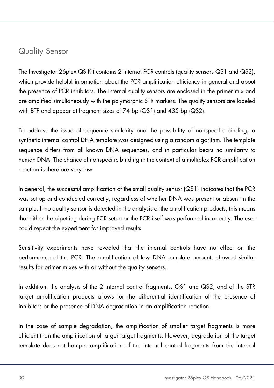# <span id="page-29-0"></span>Quality Sensor

The Investigator 26plex QS Kit contains 2 internal PCR controls (quality sensors QS1 and QS2), which provide helpful information about the PCR amplification efficiency in general and about the presence of PCR inhibitors. The internal quality sensors are enclosed in the primer mix and are amplified simultaneously with the polymorphic STR markers. The quality sensors are labeled with BTP and appear at fragment sizes of 74 bp (QS1) and 435 bp (QS2).

To address the issue of sequence similarity and the possibility of nonspecific binding, a synthetic internal control DNA template was designed using a random algorithm. The template sequence differs from all known DNA sequences, and in particular bears no similarity to human DNA. The chance of nonspecific binding in the context of a multiplex PCR amplification reaction is therefore very low.

In general, the successful amplification of the small quality sensor (QS1) indicates that the PCR was set up and conducted correctly, regardless of whether DNA was present or absent in the sample. If no quality sensor is detected in the analysis of the amplification products, this means that either the pipetting during PCR setup or the PCR itself was performed incorrectly. The user could repeat the experiment for improved results.

Sensitivity experiments have revealed that the internal controls have no effect on the performance of the PCR. The amplification of low DNA template amounts showed similar results for primer mixes with or without the quality sensors.

In addition, the analysis of the 2 internal control fragments, QS1 and QS2, and of the STR target amplification products allows for the differential identification of the presence of inhibitors or the presence of DNA degradation in an amplification reaction.

In the case of sample degradation, the amplification of smaller target fragments is more efficient than the amplification of larger target fragments. However, degradation of the target template does not hamper amplification of the internal control fragments from the internal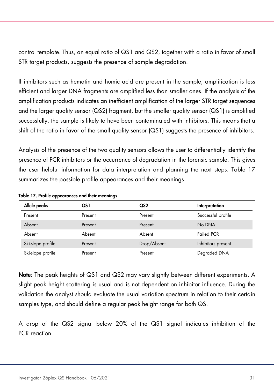control template. Thus, an equal ratio of QS1 and QS2, together with a ratio in favor of small STR target products, suggests the presence of sample degradation.

If inhibitors such as hematin and humic acid are present in the sample, amplification is less efficient and larger DNA fragments are amplified less than smaller ones. If the analysis of the amplification products indicates an inefficient amplification of the larger STR target sequences and the larger quality sensor (QS2) fragment, but the smaller quality sensor (QS1) is amplified successfully, the sample is likely to have been contaminated with inhibitors. This means that a shift of the ratio in favor of the small quality sensor (QS1) suggests the presence of inhibitors.

Analysis of the presence of the two quality sensors allows the user to differentially identify the presence of PCR inhibitors or the occurrence of degradation in the forensic sample. This gives the user helpful information for data interpretation and planning the next steps. [Table 17](#page-30-0) summarizes the possible profile appearances and their meanings.

| Allele peaks      | QS 1    | QS2         | Interpretation     |
|-------------------|---------|-------------|--------------------|
| Present           | Present | Present     | Successful profile |
| Absent            | Present | Present     | No DNA             |
| Absent            | Absent  | Absent      | <b>Failed PCR</b>  |
| Ski-slope profile | Present | Drop/Absent | Inhibitors present |
| Ski-slope profile | Present | Present     | Degraded DNA       |

<span id="page-30-0"></span>Table 17. Profile appearances and their meanings

Note: The peak heights of QS1 and QS2 may vary slightly between different experiments. A slight peak height scattering is usual and is not dependent on inhibitor influence. During the validation the analyst should evaluate the usual variation spectrum in relation to their certain samples type, and should define a regular peak height range for both QS.

A drop of the QS2 signal below 20% of the QS1 signal indicates inhibition of the PCR reaction.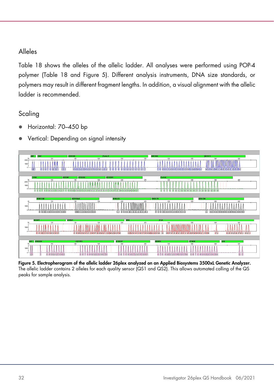# Alleles

[Table 18](#page-32-0) shows the alleles of the allelic ladder. All analyses were performed using POP-4 polymer [\(Table 18](#page-32-0) and [Figure 5\)](#page-31-0). Different analysis instruments, DNA size standards, or polymers may result in different fragment lengths. In addition, a visual alignment with the allelic ladder is recommended.

# Scaling

- Horizontal: 70–450 bp
- Vertical: Depending on signal intensity



<span id="page-31-0"></span>Figure 5. Electropherogram of the allelic ladder 26plex analyzed on an Applied Biosystems 3500xL Genetic Analyzer. The allelic ladder contains 2 alleles for each quality sensor (QS1 and QS2). This allows automated calling of the QS peaks for sample analysis.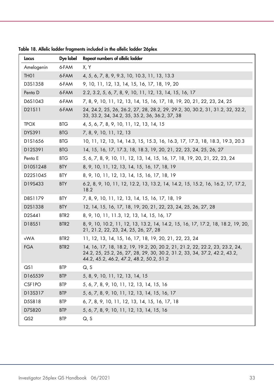| Locus             | Dye label        | Repeat numbers of allelic ladder                                                                                                                                                                     |
|-------------------|------------------|------------------------------------------------------------------------------------------------------------------------------------------------------------------------------------------------------|
| Amelogenin        | 6-FAM            | X. Y                                                                                                                                                                                                 |
| TH <sub>0</sub> 1 | 6-FAM            | 4, 5, 6, 7, 8, 9, 9.3, 10, 10.3, 11, 13, 13.3                                                                                                                                                        |
| D3S1358           | 6-FAM            | 9, 10, 11, 12, 13, 14, 15, 16, 17, 18, 19, 20                                                                                                                                                        |
| Penta D           | 6-FAM            | 2.2, 3.2, 5, 6, 7, 8, 9, 10, 11, 12, 13, 14, 15, 16, 17                                                                                                                                              |
| D6S1043           | 6-FAM            | 7, 8, 9, 10, 11, 12, 13, 14, 15, 16, 17, 18, 19, 20, 21, 22, 23, 24, 25                                                                                                                              |
| D21S11            | 6-FAM            | 24, 24.2, 25, 26, 26.2, 27, 28, 28.2, 29, 29.2, 30, 30.2, 31, 31.2, 32, 32.2,<br>33, 33.2, 34, 34.2, 35, 35.2, 36, 36.2, 37, 38                                                                      |
| <b>TPOX</b>       | <b>BTG</b>       | 4, 5, 6, 7, 8, 9, 10, 11, 12, 13, 14, 15                                                                                                                                                             |
| DYS391            | <b>BTG</b>       | 7, 8, 9, 10, 11, 12, 13                                                                                                                                                                              |
| D1S1656           | <b>BTG</b>       | 10, 11, 12, 13, 14, 14.3, 15, 15.3, 16, 16.3, 17, 17.3, 18, 18.3, 19.3, 20.3                                                                                                                         |
| D12S391           | <b>BTG</b>       | 14, 15, 16, 17, 17.3, 18, 18.3, 19, 20, 21, 22, 23, 24, 25, 26, 27                                                                                                                                   |
| Penta E           | <b>BTG</b>       | 5, 6, 7, 8, 9, 10, 11, 12, 13, 14, 15, 16, 17, 18, 19, 20, 21, 22, 23, 24                                                                                                                            |
| D10S1248          | <b>BTY</b>       | 8, 9, 10, 11, 12, 13, 14, 15, 16, 17, 18, 19                                                                                                                                                         |
| D22S1045          | <b>BTY</b>       | 8, 9, 10, 11, 12, 13, 14, 15, 16, 17, 18, 19                                                                                                                                                         |
| D19S433           | <b>BTY</b>       | 6.2, 8, 9, 10, 11, 12, 12.2, 13, 13.2, 14, 14.2, 15, 15.2, 16, 16.2, 17, 17.2,<br>18.2                                                                                                               |
| D8S1179           | <b>BTY</b>       | 7, 8, 9, 10, 11, 12, 13, 14, 15, 16, 17, 18, 19                                                                                                                                                      |
| D2S1338           | <b>BTY</b>       | 12, 14, 15, 16, 17, 18, 19, 20, 21, 22, 23, 24, 25, 26, 27, 28                                                                                                                                       |
| D2S441            | BTR <sub>2</sub> | 8, 9, 10, 11, 11.3, 12, 13, 14, 15, 16, 17                                                                                                                                                           |
| D18S51            | BTR <sub>2</sub> | 8, 9, 10, 10.2, 11, 12, 13, 13.2, 14, 14.2, 15, 16, 17, 17.2, 18, 18.2, 19, 20,<br>21, 21.2, 22, 23, 24, 25, 26, 27, 28                                                                              |
| vWA               | BTR <sub>2</sub> | 11, 12, 13, 14, 15, 16, 17, 18, 19, 20, 21, 22, 23, 24                                                                                                                                               |
| <b>FGA</b>        | BTR <sub>2</sub> | 14, 16, 17, 18, 18.2, 19, 19.2, 20, 20.2, 21, 21.2, 22, 22.2, 23, 23.2, 24,<br>24.2, 25, 25.2, 26, 27, 28, 29, 30, 30.2, 31.2, 33, 34, 37.2, 42.2, 43.2,<br>44.2, 45.2, 46.2, 47.2, 48.2, 50.2, 51.2 |
| QS1               | <b>BTP</b>       | Q, S                                                                                                                                                                                                 |
| D16S539           | <b>BTP</b>       | 5, 8, 9, 10, 11, 12, 13, 14, 15                                                                                                                                                                      |
| CSF1PO            | <b>BTP</b>       | 5, 6, 7, 8, 9, 10, 11, 12, 13, 14, 15, 16                                                                                                                                                            |
| D13S317           | <b>BTP</b>       | 5, 6, 7, 8, 9, 10, 11, 12, 13, 14, 15, 16, 17                                                                                                                                                        |
| D5S818            | <b>BTP</b>       | 6, 7, 8, 9, 10, 11, 12, 13, 14, 15, 16, 17, 18                                                                                                                                                       |
| D7S820            | <b>BTP</b>       | 5, 6, 7, 8, 9, 10, 11, 12, 13, 14, 15, 16                                                                                                                                                            |
| $\mathsf{Q}$ S2   | <b>BTP</b>       | Q, S                                                                                                                                                                                                 |

<span id="page-32-0"></span>Table 18. Allelic ladder fragments included in the allelic ladder 26plex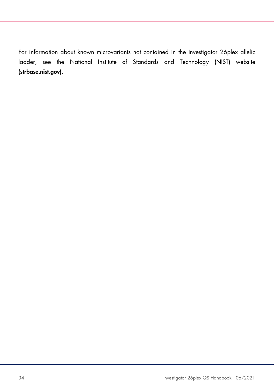For information about known microvariants not contained in the Investigator 26plex allelic ladder, see the National Institute of Standards and Technology (NIST) website (strbase.nist.gov).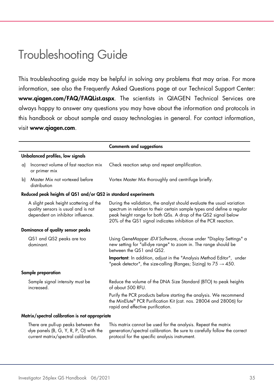# <span id="page-34-0"></span>Troubleshooting Guide

This troubleshooting guide may be helpful in solving any problems that may arise. For more information, see also the Frequently Asked Questions page at our Technical Support Center: [www.qiagen.com/FAQ/FAQList.aspx](http://www.qiagen.com/FAQ/FAQList.aspx). The scientists in QIAGEN Technical Services are always happy to answer any questions you may have about the information and protocols in this handbook or about sample and assay technologies in general. For contact information, visit [www.qiagen.com](http://www.qiagen.com/).

|    |                                                                                                                    | <b>Comments and suggestions</b>                                                                                                                                                                                                                                                        |  |  |  |
|----|--------------------------------------------------------------------------------------------------------------------|----------------------------------------------------------------------------------------------------------------------------------------------------------------------------------------------------------------------------------------------------------------------------------------|--|--|--|
|    | Unbalanced profiles, low signals                                                                                   |                                                                                                                                                                                                                                                                                        |  |  |  |
| a) | Incorrect volume of fast reaction mix<br>or primer mix                                                             | Check reaction setup and repeat amplification.                                                                                                                                                                                                                                         |  |  |  |
| b) | Master Mix not vortexed before<br>distribution                                                                     | Vortex Master Mix thoroughly and centrifuge briefly.                                                                                                                                                                                                                                   |  |  |  |
|    | Reduced peak heights of QS1 and/or QS2 in standard experiments                                                     |                                                                                                                                                                                                                                                                                        |  |  |  |
|    | A slight peak height scattering of the<br>quality sensors is usual and is not<br>dependent on inhibitor influence. | During the validation, the analyst should evaluate the usual variation<br>spectrum in relation to their certain sample types and define a regular<br>peak height range for both QSs. A drop of the QS2 signal below<br>20% of the QS1 signal indicates inhibition of the PCR reaction. |  |  |  |
|    | Dominance of quality sensor peaks                                                                                  |                                                                                                                                                                                                                                                                                        |  |  |  |
|    | QS1 and QS2 peaks are too<br>dominant.                                                                             | Using GeneMapper ID-X Software, choose under "Display Settings" a<br>new setting for "all-dye range" to zoom in. The range should be<br>between the QS1 and QS2.                                                                                                                       |  |  |  |
|    |                                                                                                                    | <b>Important:</b> In addition, adjust in the "Analysis Method Editor", under<br>"peak detector", the size-calling (Ranges; Sizing) to $75 \rightarrow 450$ .                                                                                                                           |  |  |  |
|    | Sample preparation                                                                                                 |                                                                                                                                                                                                                                                                                        |  |  |  |
|    | Sample signal intensity must be<br>increased.                                                                      | Reduce the volume of the DNA Size Standard (BTO) to peak heights<br>of about 500 RFU.                                                                                                                                                                                                  |  |  |  |
|    |                                                                                                                    | Purify the PCR products before starting the analysis. We recommend<br>the MinElute® PCR Purification Kit (cat. nos. 28004 and 28006) for<br>rapid and effective purification.                                                                                                          |  |  |  |
|    | Matrix/spectral calibration is not appropriate                                                                     |                                                                                                                                                                                                                                                                                        |  |  |  |
|    |                                                                                                                    |                                                                                                                                                                                                                                                                                        |  |  |  |

| There are pull-up peaks between the  | This matrix cannot be used for the analysis. Repeat the matrix                                                  |
|--------------------------------------|-----------------------------------------------------------------------------------------------------------------|
|                                      | dye panels (B, G, Y, R, P, O) with the generation/spectral calibration. Be sure to carefully follow the correct |
| current matrix/spectral calibration. | protocol for the specific analysis instrument.                                                                  |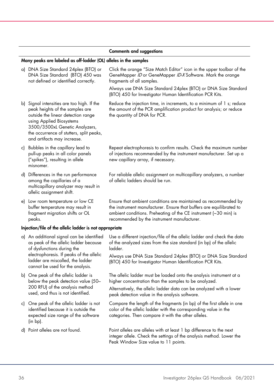#### Comments and suggestions

### Many peaks are labeled as off-ladder (OL) alleles in the samples

| a) DNA Size Standard 24plex (BTO) or<br>DNA Size Standard (BTO) 450 was<br>not defined or identified correctly.                                                                                                                                              | Click the orange "Size Match Editor" icon in the upper toolbar of the<br>GeneMapper ID or GeneMapper ID-X Software. Mark the orange<br>fragments of all samples.                                                                                           |
|--------------------------------------------------------------------------------------------------------------------------------------------------------------------------------------------------------------------------------------------------------------|------------------------------------------------------------------------------------------------------------------------------------------------------------------------------------------------------------------------------------------------------------|
|                                                                                                                                                                                                                                                              | Always use DNA Size Standard 24plex (BTO) or DNA Size Standard<br>(BTO) 450 for Investigator Human Identification PCR Kits.                                                                                                                                |
| b) Signal intensities are too high. If the<br>peak heights of the samples are<br>outside the linear detection range<br>using Applied Biosystems<br>3500/3500xL Genetic Analyzers,<br>the occurrence of stutters, split peaks,<br>and artifacts may increase. | Reduce the injection time, in increments, to a minimum of 1 s; reduce<br>the amount of the PCR amplification product for analysis; or reduce<br>the quantity of DNA for PCR.                                                                               |
| c) Bubbles in the capillary lead to<br>pull-up peaks in all color panels<br>("spikes"), resulting in allele<br>misnomer.                                                                                                                                     | Repeat electrophoresis to confirm results. Check the maximum number<br>of injections recommended by the instrument manufacturer. Set up a<br>new capillary array, if necessary.                                                                            |
| d) Differences in the run performance<br>among the capillaries of a<br>multicapillary analyzer may result in<br>allelic assignment shift.                                                                                                                    | For reliable allelic assignment on multicapillary analyzers, a number<br>of allelic ladders should be run.                                                                                                                                                 |
| e) Low room temperature or low CE<br>buffer temperature may result in<br>fragment migration shifts or OL<br>peaks.                                                                                                                                           | Ensure that ambient conditions are maintained as recommended by<br>the instrument manufacturer. Ensure that buffers are equilibrated to<br>ambient conditions. Preheating of the CE instrument (~30 min) is<br>recommended by the instrument manufacturer. |
| Injection/file of the allelic ladder is not appropriate                                                                                                                                                                                                      |                                                                                                                                                                                                                                                            |
| a) An additional signal can be identified<br>as peak of the allelic ladder because<br>of dysfunctions during the                                                                                                                                             | Use a different injection/file of the allelic ladder and check the data<br>of the analyzed sizes from the size standard (in bp) of the allelic<br>ladder.                                                                                                  |
| electrophoresis. If peaks of the allelic<br>ladder are miscalled, the ladder<br>cannot be used for the analysis.                                                                                                                                             | Always use DNA Size Standard 24plex (BTO) or DNA Size Standard<br>(BTO) 450 for Investigator Human Identification PCR Kits.                                                                                                                                |
| b) One peak of the allelic ladder is<br>below the peak detection value (50-<br>200 RFU) of the analysis method<br>used, and thus is not identified.                                                                                                          | The allelic ladder must be loaded onto the analysis instrument at a<br>higher concentration than the samples to be analyzed.<br>Alternatively, the allelic ladder data can be analyzed with a lower<br>peak detection value in the analysis software.      |
| c) One peak of the allelic ladder is not<br>identified because it is outside the<br>expected size range of the software<br>$(in bp)$ .                                                                                                                       | Compare the length of the fragments (in bp) of the first allele in one<br>color of the allelic ladder with the corresponding value in the<br>categories. Then compare it with the other alleles.                                                           |
| d) Point alleles are not found.                                                                                                                                                                                                                              | Point alleles are alleles with at least 1 bp difference to the next<br>integer allele. Check the settings of the analysis method. Lower the<br>Peak Window Size value to 11 points.                                                                        |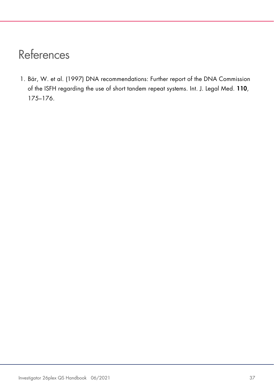# <span id="page-36-0"></span>References

<span id="page-36-1"></span>1. Bär, W. et al. (1997) DNA recommendations: Further report of the DNA Commission of the ISFH regarding the use of short tandem repeat systems. Int. J. Legal Med. 110, 175–176.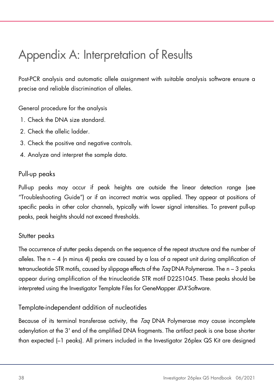# <span id="page-37-0"></span>Appendix A: Interpretation of Results

Post-PCR analysis and automatic allele assignment with suitable analysis software ensure a precise and reliable discrimination of alleles.

General procedure for the analysis

- 1. Check the DNA size standard.
- 2. Check the allelic ladder.
- 3. Check the positive and negative controls.
- 4. Analyze and interpret the sample data.

# Pull-up peaks

Pull-up peaks may occur if peak heights are outside the linear detection range (see ["Troubleshooting Guide"](#page-34-0)) or if an incorrect matrix was applied. They appear at positions of specific peaks in other color channels, typically with lower signal intensities. To prevent pull-up peaks, peak heights should not exceed thresholds.

# Stutter peaks

The occurrence of stutter peaks depends on the sequence of the repeat structure and the number of alleles. The n − 4 (n minus 4) peaks are caused by a loss of a repeat unit during amplification of tetranucleotide STR motifs, caused by slippage effects of the  $7aq$  DNA Polymerase. The  $n - 3$  peaks appear during amplification of the trinucleotide STR motif D22S1045. These peaks should be interpreted using the Investigator Template Files for GeneMapper ID-X Software.

# Template-independent addition of nucleotides

Because of its terminal transferase activity, the *Taq* DNA Polymerase may cause incomplete adenylation at the 3' end of the amplified DNA fragments. The artifact peak is one base shorter than expected (–1 peaks). All primers included in the Investigator 26plex QS Kit are designed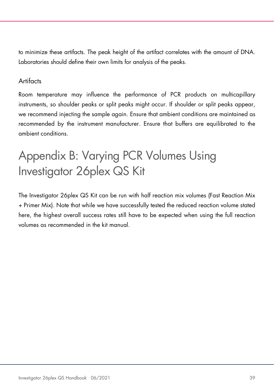to minimize these artifacts. The peak height of the artifact correlates with the amount of DNA. Laboratories should define their own limits for analysis of the peaks.

### **Artifacts**

Room temperature may influence the performance of PCR products on multicapillary instruments, so shoulder peaks or split peaks might occur. If shoulder or split peaks appear, we recommend injecting the sample again. Ensure that ambient conditions are maintained as recommended by the instrument manufacturer. Ensure that buffers are equilibrated to the ambient conditions.

# <span id="page-38-0"></span>Appendix B: Varying PCR Volumes Using Investigator 26plex QS Kit

The Investigator 26plex QS Kit can be run with half reaction mix volumes (Fast Reaction Mix + Primer Mix). Note that while we have successfully tested the reduced reaction volume stated here, the highest overall success rates still have to be expected when using the full reaction volumes as recommended in the kit manual.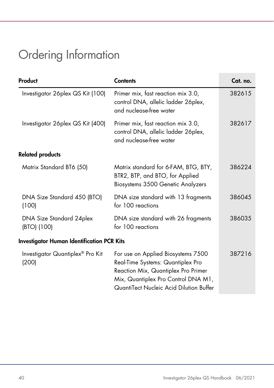# <span id="page-39-0"></span>Ordering Information

| Product                                           | <b>Contents</b>                                                                                                                                                                                  | Cat. no. |
|---------------------------------------------------|--------------------------------------------------------------------------------------------------------------------------------------------------------------------------------------------------|----------|
| Investigator 26 plex QS Kit (100)                 | Primer mix, fast reaction mix 3.0,<br>control DNA, allelic ladder 26plex,<br>and nuclease-free water                                                                                             | 382615   |
| Investigator 26plex QS Kit (400)                  | Primer mix, fast reaction mix 3.0,<br>control DNA, allelic ladder 26plex,<br>and nuclease-free water                                                                                             | 382617   |
| <b>Related products</b>                           |                                                                                                                                                                                                  |          |
| Matrix Standard BT6 (50)                          | Matrix standard for 6-FAM, BTG, BTY,<br>BTR2, BTP, and BTO, for Applied<br>Biosystems 3500 Genetic Analyzers                                                                                     | 386224   |
| DNA Size Standard 450 (BTO)<br>(100)              | DNA size standard with 13 fragments<br>for 100 reactions                                                                                                                                         | 386045   |
| DNA Size Standard 24plex<br>(BTO) (100)           | DNA size standard with 26 fragments<br>for 100 reactions                                                                                                                                         | 386035   |
| <b>Investigator Human Identification PCR Kits</b> |                                                                                                                                                                                                  |          |
| Investigator Quantiplex® Pro Kit<br>(200)         | For use on Applied Biosystems 7500<br>Real-Time Systems: Quantiplex Pro<br>Reaction Mix, Quantiplex Pro Primer<br>Mix, Quantiplex Pro Control DNA M1,<br>QuantiTect Nucleic Acid Dilution Buffer | 387216   |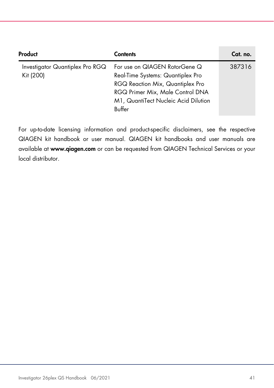| Product                                      | Contents                                                                                                                                                                                     | Cat. no. |
|----------------------------------------------|----------------------------------------------------------------------------------------------------------------------------------------------------------------------------------------------|----------|
| Investigator Quantiplex Pro RGQ<br>Kit (200) | For use on QIAGEN RotorGene Q<br>Real-Time Systems: Quantiplex Pro<br>RGQ Reaction Mix, Quantiplex Pro<br>RGQ Primer Mix, Male Control DNA<br>M1, QuantiTect Nucleic Acid Dilution<br>Buffer | 387316   |

For up-to-date licensing information and product-specific disclaimers, see the respective QIAGEN kit handbook or user manual. QIAGEN kit handbooks and user manuals are available at [www.qiagen.com](http://www.qiagen.com/) or can be requested from QIAGEN Technical Services or your local distributor.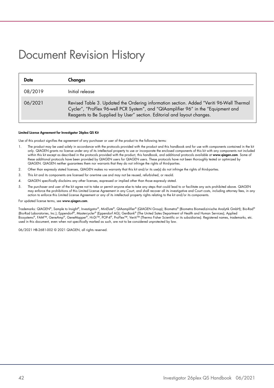# <span id="page-41-0"></span>Document Revision History

| Date    | Changes                                                                                                                                                                                                                                                   |
|---------|-----------------------------------------------------------------------------------------------------------------------------------------------------------------------------------------------------------------------------------------------------------|
| 08/2019 | Initial release                                                                                                                                                                                                                                           |
| 06/2021 | Revised Table 3. Updated the Ordering information section. Added "Veriti 96-Well Thermal<br>Cycler", "ProFlex 96-well PCR System", and "QIAamplifier 96" in the "Equipment and<br>Reagents to Be Supplied by User" section. Editorial and layout changes. |

#### Limited License Agreement for Investigator 26plex QS Kit

Use of this product signifies the agreement of any purchaser or user of the product to the following terms:

- 1. The product may be used solely in accordance with the protocols provided with the product and this handbook and for use with components contained in the kit only. QIAGEN grants no license under any of its intellectual property to use or incorporate the enclosed components of this kit with any components not included within this kit except as described in the protocols provided with the product, this handbook, and additional protocols available at www.qiagen.com. Some of these additional protocols have been provided by QIAGEN users for QIAGEN users. These protocols have not been thoroughly tested or optimized by QIAGEN. QIAGEN neither guarantees them nor warrants that they do not infringe the rights of third-parties.
- 2. Other than expressly stated licenses, QIAGEN makes no warranty that this kit and/or its use(s) do not infringe the rights of third-parties.
- 3. This kit and its components are licensed for one-time use and may not be reused, refurbished, or resold.
- 4. QIAGEN specifically disclaims any other licenses, expressed or implied other than those expressly stated.
- 5. The purchaser and user of the kit agree not to take or permit anyone else to take any steps that could lead to or facilitate any acts prohibited above. QIAGEN may enforce the prohibitions of this Limited License Agreement in any Court, and shall recover all its investigative and Court costs, including attorney fees, in any action to enforce this Limited License Agreement or any of its intellectual property rights relating to the kit and/or its components.

#### For updated license terms, see www.aiagen.com.

Trademarks: QIAGEN®, Sample to Insight®, Investigator®, MinElute®, QIAamplifier® (QIAGEN Group); Biometra® (Biometra Biomedizinische Analytik GmbH); Bio-Rad® (Bio-Rad Laboratories, Inc.); Eppendorf®, Mastercycler® (Eppendorf AG); GenBank® (The United Sates Department of Health and Human Services); Applied Biosystems®, FAM™, GeneAmp®, GeneMapper®, Hi-Di™, POP-4®, ProFlex™, Veriti™ (Thermo Fisher Scientific or its subsidiaries). Registered names, trademarks, etc.<br>used in this document, even when not specifically marked as su

06/2021 HB-2681-002 © 2021 QIAGEN, all rights reserved.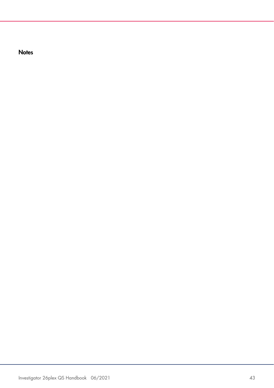**Notes**